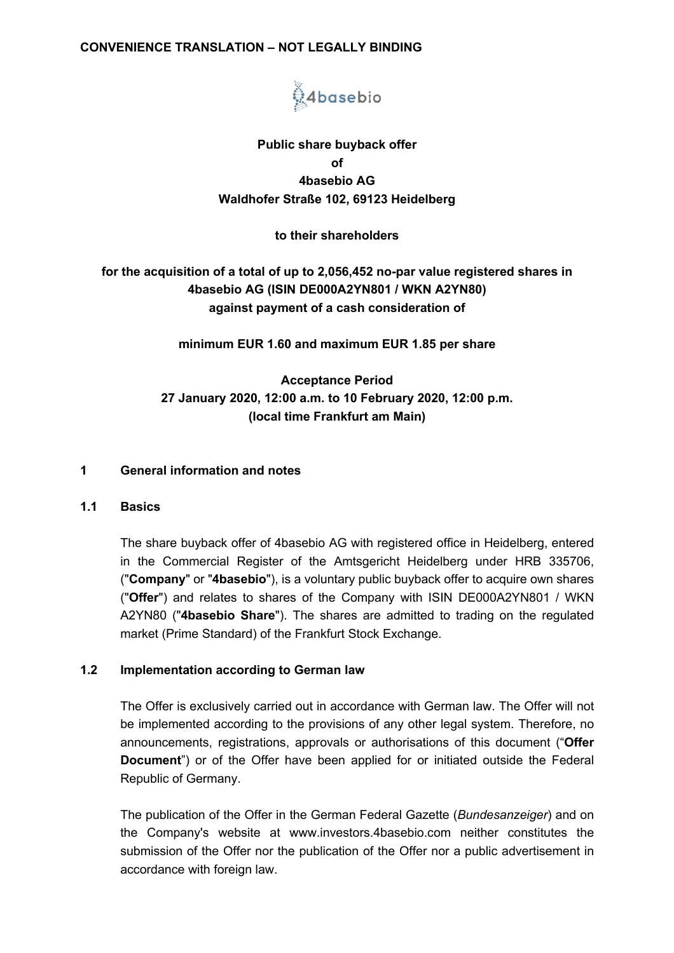## **CONVENIENCE TRANSLATION – NOT LEGALLY BINDING**



# **Public share buyback offer of 4basebio AG Waldhofer Straße 102, 69123 Heidelberg**

## **to their shareholders**

# **for the acquisition of a total of up to 2,056,452 no-par value registered shares in 4basebio AG (ISIN DE000A2YN801 / WKN A2YN80) against payment of a cash consideration of**

**minimum EUR 1.60 and maximum EUR 1.85 per share**

# **Acceptance Period 27 January 2020, 12:00 a.m. to 10 February 2020, 12:00 p.m. (local time Frankfurt am Main)**

#### **1 General information and notes**

#### **1.1 Basics**

The share buyback offer of 4basebio AG with registered office in Heidelberg, entered in the Commercial Register of the Amtsgericht Heidelberg under HRB 335706, ("**Company**" or "**4basebio**"), is a voluntary public buyback offer to acquire own shares ("**Offer**") and relates to shares of the Company with ISIN DE000A2YN801 / WKN A2YN80 ("**4basebio Share**"). The shares are admitted to trading on the regulated market (Prime Standard) of the Frankfurt Stock Exchange.

## **1.2 Implementation according to German law**

The Offer is exclusively carried out in accordance with German law. The Offer will not be implemented according to the provisions of any other legal system. Therefore, no announcements, registrations, approvals or authorisations of this document ("**Offer Document**") or of the Offer have been applied for or initiated outside the Federal Republic of Germany.

The publication of the Offer in the German Federal Gazette (*Bundesanzeiger*) and on the Company's website at www.investors.4basebio.com neither constitutes the submission of the Offer nor the publication of the Offer nor a public advertisement in accordance with foreign law.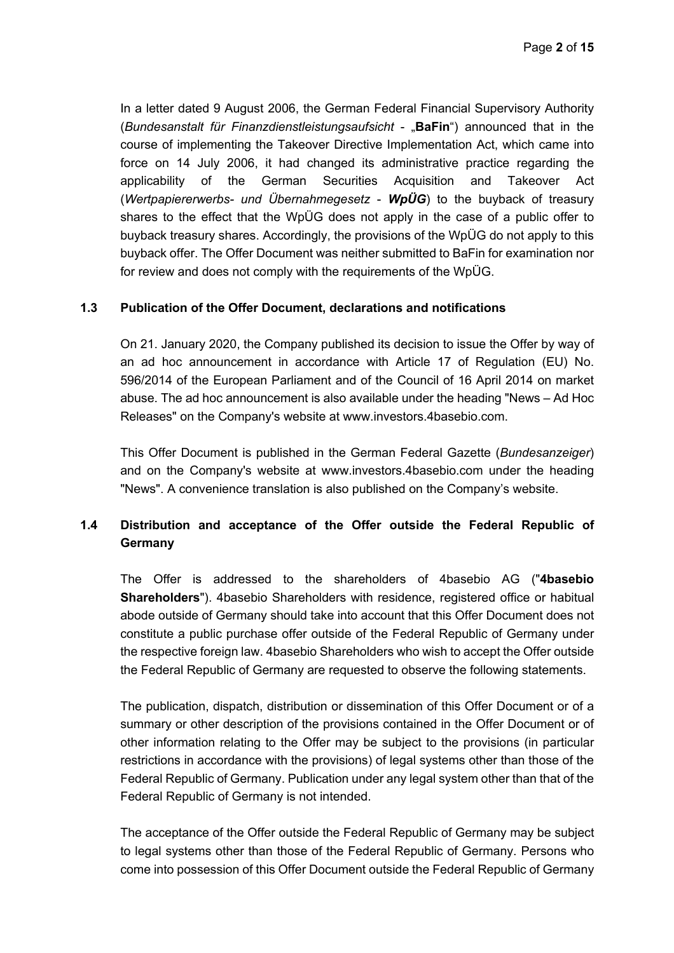In a letter dated 9 August 2006, the German Federal Financial Supervisory Authority (*Bundesanstalt für Finanzdienstleistungsaufsicht - "BaFin"*) announced that in the course of implementing the Takeover Directive Implementation Act, which came into force on 14 July 2006, it had changed its administrative practice regarding the applicability of the German Securities Acquisition and Takeover Act (*Wertpapiererwerbs- und Übernahmegesetz* - *WpÜG*) to the buyback of treasury shares to the effect that the WpÜG does not apply in the case of a public offer to buyback treasury shares. Accordingly, the provisions of the WpÜG do not apply to this buyback offer. The Offer Document was neither submitted to BaFin for examination nor for review and does not comply with the requirements of the WpÜG.

## **1.3 Publication of the Offer Document, declarations and notifications**

On 21. January 2020, the Company published its decision to issue the Offer by way of an ad hoc announcement in accordance with Article 17 of Regulation (EU) No. 596/2014 of the European Parliament and of the Council of 16 April 2014 on market abuse. The ad hoc announcement is also available under the heading "News – Ad Hoc Releases" on the Company's website at www.investors.4basebio.com.

This Offer Document is published in the German Federal Gazette (*Bundesanzeiger*) and on the Company's website at www.investors.4basebio.com under the heading "News". A convenience translation is also published on the Company's website.

# **1.4 Distribution and acceptance of the Offer outside the Federal Republic of Germany**

The Offer is addressed to the shareholders of 4basebio AG ("**4basebio Shareholders**"). 4basebio Shareholders with residence, registered office or habitual abode outside of Germany should take into account that this Offer Document does not constitute a public purchase offer outside of the Federal Republic of Germany under the respective foreign law. 4basebio Shareholders who wish to accept the Offer outside the Federal Republic of Germany are requested to observe the following statements.

The publication, dispatch, distribution or dissemination of this Offer Document or of a summary or other description of the provisions contained in the Offer Document or of other information relating to the Offer may be subject to the provisions (in particular restrictions in accordance with the provisions) of legal systems other than those of the Federal Republic of Germany. Publication under any legal system other than that of the Federal Republic of Germany is not intended.

The acceptance of the Offer outside the Federal Republic of Germany may be subject to legal systems other than those of the Federal Republic of Germany. Persons who come into possession of this Offer Document outside the Federal Republic of Germany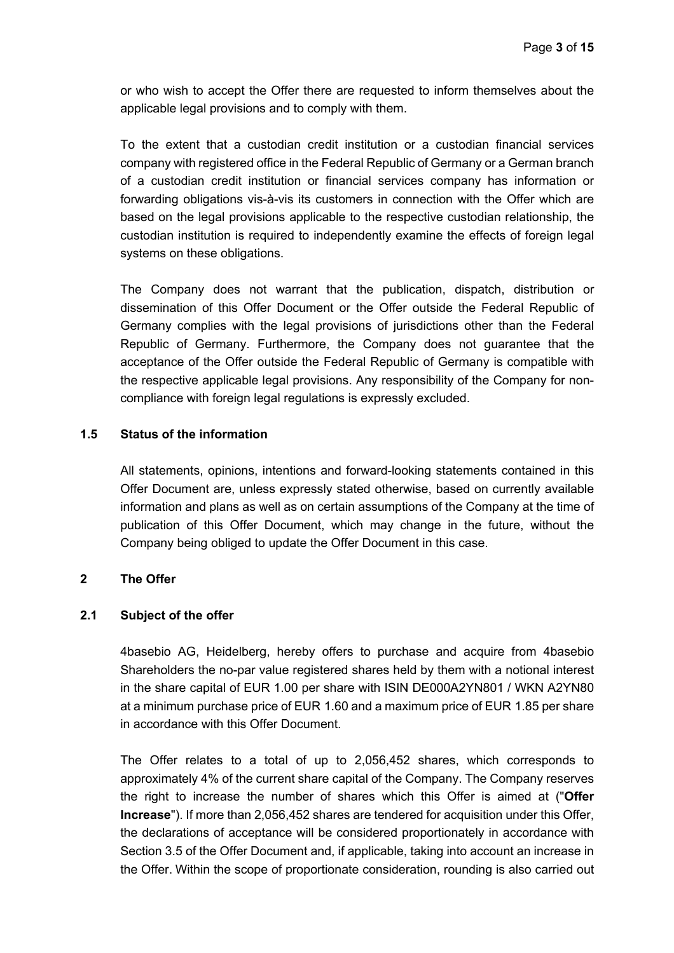or who wish to accept the Offer there are requested to inform themselves about the applicable legal provisions and to comply with them.

To the extent that a custodian credit institution or a custodian financial services company with registered office in the Federal Republic of Germany or a German branch of a custodian credit institution or financial services company has information or forwarding obligations vis-à-vis its customers in connection with the Offer which are based on the legal provisions applicable to the respective custodian relationship, the custodian institution is required to independently examine the effects of foreign legal systems on these obligations.

The Company does not warrant that the publication, dispatch, distribution or dissemination of this Offer Document or the Offer outside the Federal Republic of Germany complies with the legal provisions of jurisdictions other than the Federal Republic of Germany. Furthermore, the Company does not guarantee that the acceptance of the Offer outside the Federal Republic of Germany is compatible with the respective applicable legal provisions. Any responsibility of the Company for noncompliance with foreign legal regulations is expressly excluded.

### **1.5 Status of the information**

All statements, opinions, intentions and forward-looking statements contained in this Offer Document are, unless expressly stated otherwise, based on currently available information and plans as well as on certain assumptions of the Company at the time of publication of this Offer Document, which may change in the future, without the Company being obliged to update the Offer Document in this case.

### **2 The Offer**

### **2.1 Subject of the offer**

4basebio AG, Heidelberg, hereby offers to purchase and acquire from 4basebio Shareholders the no-par value registered shares held by them with a notional interest in the share capital of EUR 1.00 per share with ISIN DE000A2YN801 / WKN A2YN80 at a minimum purchase price of EUR 1.60 and a maximum price of EUR 1.85 per share in accordance with this Offer Document.

The Offer relates to a total of up to 2,056,452 shares, which corresponds to approximately 4% of the current share capital of the Company. The Company reserves the right to increase the number of shares which this Offer is aimed at ("**Offer Increase**"). If more than 2,056,452 shares are tendered for acquisition under this Offer, the declarations of acceptance will be considered proportionately in accordance with Section 3.5 of the Offer Document and, if applicable, taking into account an increase in the Offer. Within the scope of proportionate consideration, rounding is also carried out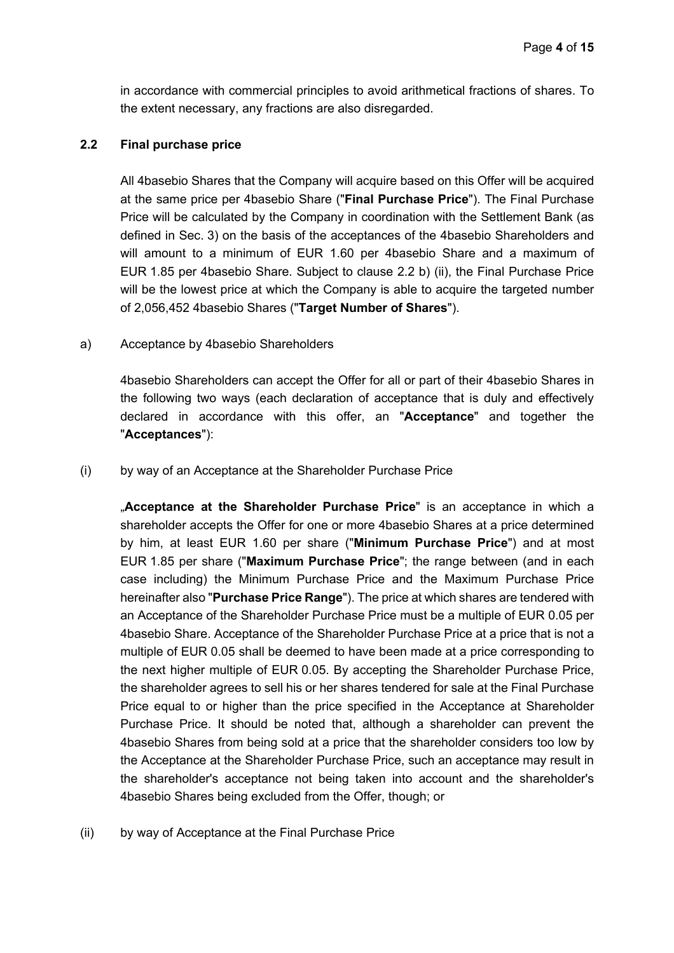in accordance with commercial principles to avoid arithmetical fractions of shares. To the extent necessary, any fractions are also disregarded.

#### **2.2 Final purchase price**

All 4basebio Shares that the Company will acquire based on this Offer will be acquired at the same price per 4basebio Share ("**Final Purchase Price**"). The Final Purchase Price will be calculated by the Company in coordination with the Settlement Bank (as defined in Sec. 3) on the basis of the acceptances of the 4basebio Shareholders and will amount to a minimum of EUR 1.60 per 4basebio Share and a maximum of EUR 1.85 per 4basebio Share. Subject to clause 2.2 b) (ii), the Final Purchase Price will be the lowest price at which the Company is able to acquire the targeted number of 2,056,452 4basebio Shares ("**Target Number of Shares**").

a) Acceptance by 4basebio Shareholders

4basebio Shareholders can accept the Offer for all or part of their 4basebio Shares in the following two ways (each declaration of acceptance that is duly and effectively declared in accordance with this offer, an "**Acceptance**" and together the "**Acceptances**"):

(i) by way of an Acceptance at the Shareholder Purchase Price

"**Acceptance at the Shareholder Purchase Price**" is an acceptance in which a shareholder accepts the Offer for one or more 4basebio Shares at a price determined by him, at least EUR 1.60 per share ("**Minimum Purchase Price**") and at most EUR 1.85 per share ("**Maximum Purchase Price**"; the range between (and in each case including) the Minimum Purchase Price and the Maximum Purchase Price hereinafter also "**Purchase Price Range**"). The price at which shares are tendered with an Acceptance of the Shareholder Purchase Price must be a multiple of EUR 0.05 per 4basebio Share. Acceptance of the Shareholder Purchase Price at a price that is not a multiple of EUR 0.05 shall be deemed to have been made at a price corresponding to the next higher multiple of EUR 0.05. By accepting the Shareholder Purchase Price, the shareholder agrees to sell his or her shares tendered for sale at the Final Purchase Price equal to or higher than the price specified in the Acceptance at Shareholder Purchase Price. It should be noted that, although a shareholder can prevent the 4basebio Shares from being sold at a price that the shareholder considers too low by the Acceptance at the Shareholder Purchase Price, such an acceptance may result in the shareholder's acceptance not being taken into account and the shareholder's 4basebio Shares being excluded from the Offer, though; or

(ii) by way of Acceptance at the Final Purchase Price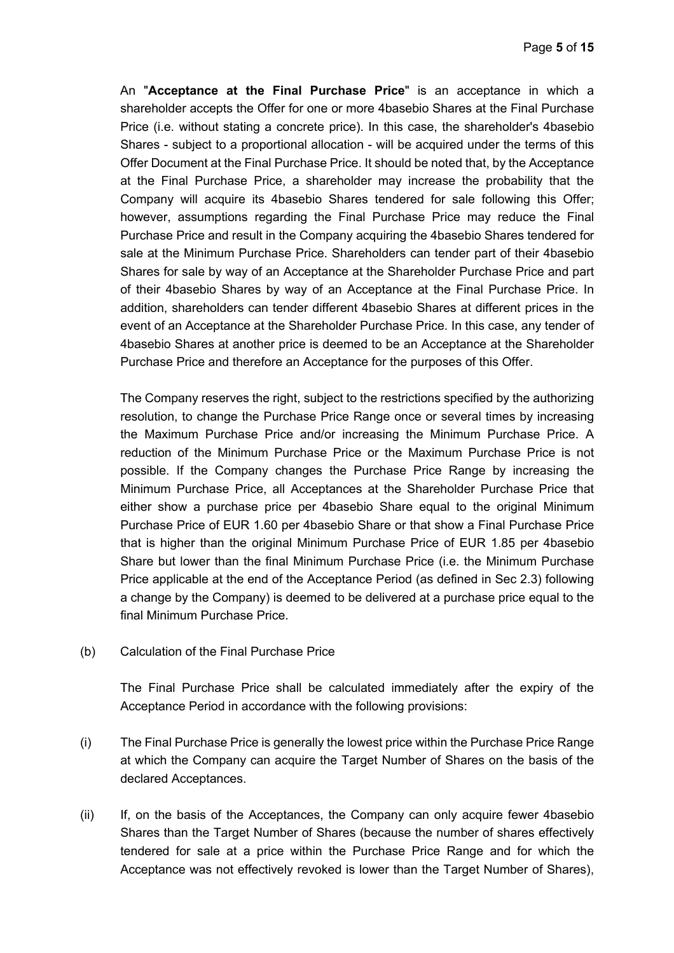An "**Acceptance at the Final Purchase Price**" is an acceptance in which a shareholder accepts the Offer for one or more 4basebio Shares at the Final Purchase Price (i.e. without stating a concrete price). In this case, the shareholder's 4basebio Shares - subject to a proportional allocation - will be acquired under the terms of this Offer Document at the Final Purchase Price. It should be noted that, by the Acceptance at the Final Purchase Price, a shareholder may increase the probability that the Company will acquire its 4basebio Shares tendered for sale following this Offer; however, assumptions regarding the Final Purchase Price may reduce the Final Purchase Price and result in the Company acquiring the 4basebio Shares tendered for sale at the Minimum Purchase Price. Shareholders can tender part of their 4basebio Shares for sale by way of an Acceptance at the Shareholder Purchase Price and part of their 4basebio Shares by way of an Acceptance at the Final Purchase Price. In addition, shareholders can tender different 4basebio Shares at different prices in the event of an Acceptance at the Shareholder Purchase Price. In this case, any tender of 4basebio Shares at another price is deemed to be an Acceptance at the Shareholder Purchase Price and therefore an Acceptance for the purposes of this Offer.

The Company reserves the right, subject to the restrictions specified by the authorizing resolution, to change the Purchase Price Range once or several times by increasing the Maximum Purchase Price and/or increasing the Minimum Purchase Price. A reduction of the Minimum Purchase Price or the Maximum Purchase Price is not possible. If the Company changes the Purchase Price Range by increasing the Minimum Purchase Price, all Acceptances at the Shareholder Purchase Price that either show a purchase price per 4basebio Share equal to the original Minimum Purchase Price of EUR 1.60 per 4basebio Share or that show a Final Purchase Price that is higher than the original Minimum Purchase Price of EUR 1.85 per 4basebio Share but lower than the final Minimum Purchase Price (i.e. the Minimum Purchase Price applicable at the end of the Acceptance Period (as defined in Sec 2.3) following a change by the Company) is deemed to be delivered at a purchase price equal to the final Minimum Purchase Price.

(b) Calculation of the Final Purchase Price

The Final Purchase Price shall be calculated immediately after the expiry of the Acceptance Period in accordance with the following provisions:

- (i) The Final Purchase Price is generally the lowest price within the Purchase Price Range at which the Company can acquire the Target Number of Shares on the basis of the declared Acceptances.
- (ii) If, on the basis of the Acceptances, the Company can only acquire fewer 4basebio Shares than the Target Number of Shares (because the number of shares effectively tendered for sale at a price within the Purchase Price Range and for which the Acceptance was not effectively revoked is lower than the Target Number of Shares),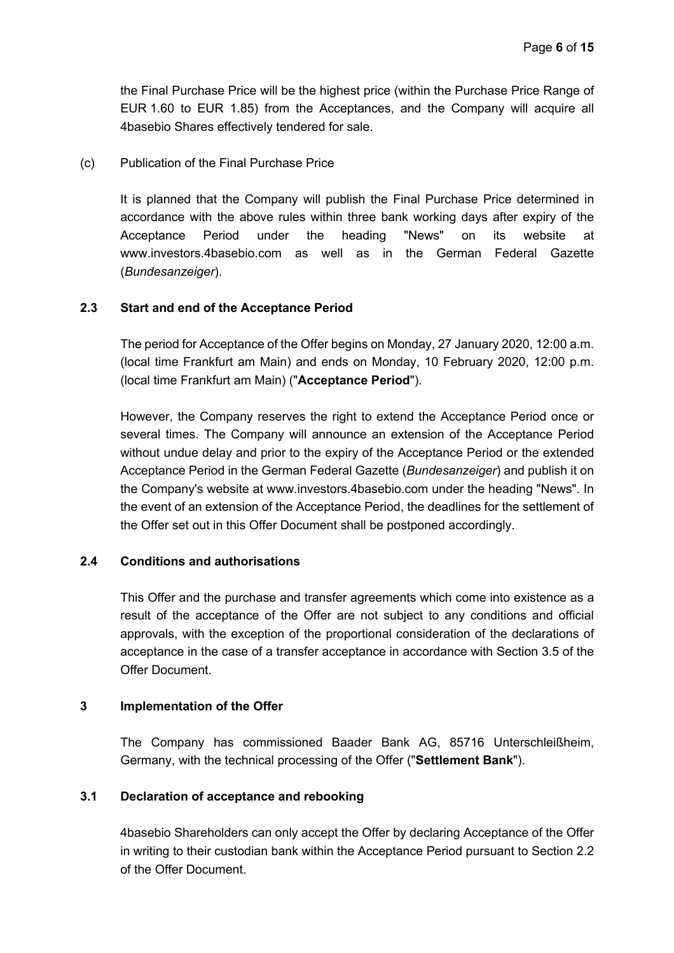the Final Purchase Price will be the highest price (within the Purchase Price Range of EUR 1.60 to EUR 1.85) from the Acceptances, and the Company will acquire all 4basebio Shares effectively tendered for sale.

(c) Publication of the Final Purchase Price

It is planned that the Company will publish the Final Purchase Price determined in accordance with the above rules within three bank working days after expiry of the Acceptance Period under the heading "News" on its website at www.investors.4basebio.com as well as in the German Federal Gazette (*Bundesanzeiger*).

## **2.3 Start and end of the Acceptance Period**

The period for Acceptance of the Offer begins on Monday, 27 January 2020, 12:00 a.m. (local time Frankfurt am Main) and ends on Monday, 10 February 2020, 12:00 p.m. (local time Frankfurt am Main) ("**Acceptance Period**").

However, the Company reserves the right to extend the Acceptance Period once or several times. The Company will announce an extension of the Acceptance Period without undue delay and prior to the expiry of the Acceptance Period or the extended Acceptance Period in the German Federal Gazette (*Bundesanzeiger*) and publish it on the Company's website at www.investors.4basebio.com under the heading "News". In the event of an extension of the Acceptance Period, the deadlines for the settlement of the Offer set out in this Offer Document shall be postponed accordingly.

### **2.4 Conditions and authorisations**

This Offer and the purchase and transfer agreements which come into existence as a result of the acceptance of the Offer are not subject to any conditions and official approvals, with the exception of the proportional consideration of the declarations of acceptance in the case of a transfer acceptance in accordance with Section 3.5 of the Offer Document.

### **3 Implementation of the Offer**

The Company has commissioned Baader Bank AG, 85716 Unterschleißheim, Germany, with the technical processing of the Offer ("**Settlement Bank**").

### **3.1 Declaration of acceptance and rebooking**

4basebio Shareholders can only accept the Offer by declaring Acceptance of the Offer in writing to their custodian bank within the Acceptance Period pursuant to Section 2.2 of the Offer Document.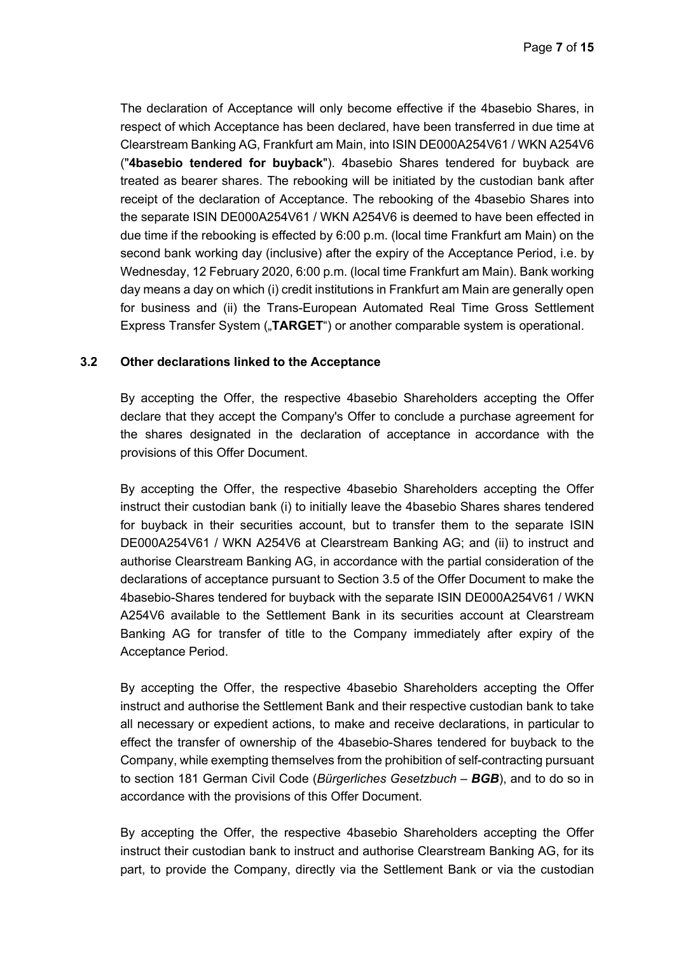The declaration of Acceptance will only become effective if the 4basebio Shares, in respect of which Acceptance has been declared, have been transferred in due time at Clearstream Banking AG, Frankfurt am Main, into ISIN DE000A254V61 / WKN A254V6 ("**4basebio tendered for buyback**"). 4basebio Shares tendered for buyback are treated as bearer shares. The rebooking will be initiated by the custodian bank after receipt of the declaration of Acceptance. The rebooking of the 4basebio Shares into the separate ISIN DE000A254V61 / WKN A254V6 is deemed to have been effected in due time if the rebooking is effected by 6:00 p.m. (local time Frankfurt am Main) on the second bank working day (inclusive) after the expiry of the Acceptance Period, i.e. by Wednesday, 12 February 2020, 6:00 p.m. (local time Frankfurt am Main). Bank working day means a day on which (i) credit institutions in Frankfurt am Main are generally open for business and (ii) the Trans-European Automated Real Time Gross Settlement Express Transfer System ("TARGET") or another comparable system is operational.

### **3.2 Other declarations linked to the Acceptance**

By accepting the Offer, the respective 4basebio Shareholders accepting the Offer declare that they accept the Company's Offer to conclude a purchase agreement for the shares designated in the declaration of acceptance in accordance with the provisions of this Offer Document.

By accepting the Offer, the respective 4basebio Shareholders accepting the Offer instruct their custodian bank (i) to initially leave the 4basebio Shares shares tendered for buyback in their securities account, but to transfer them to the separate ISIN DE000A254V61 / WKN A254V6 at Clearstream Banking AG; and (ii) to instruct and authorise Clearstream Banking AG, in accordance with the partial consideration of the declarations of acceptance pursuant to Section 3.5 of the Offer Document to make the 4basebio-Shares tendered for buyback with the separate ISIN DE000A254V61 / WKN A254V6 available to the Settlement Bank in its securities account at Clearstream Banking AG for transfer of title to the Company immediately after expiry of the Acceptance Period.

By accepting the Offer, the respective 4basebio Shareholders accepting the Offer instruct and authorise the Settlement Bank and their respective custodian bank to take all necessary or expedient actions, to make and receive declarations, in particular to effect the transfer of ownership of the 4basebio-Shares tendered for buyback to the Company, while exempting themselves from the prohibition of self-contracting pursuant to section 181 German Civil Code (*Bürgerliches Gesetzbuch – BGB*), and to do so in accordance with the provisions of this Offer Document.

By accepting the Offer, the respective 4basebio Shareholders accepting the Offer instruct their custodian bank to instruct and authorise Clearstream Banking AG, for its part, to provide the Company, directly via the Settlement Bank or via the custodian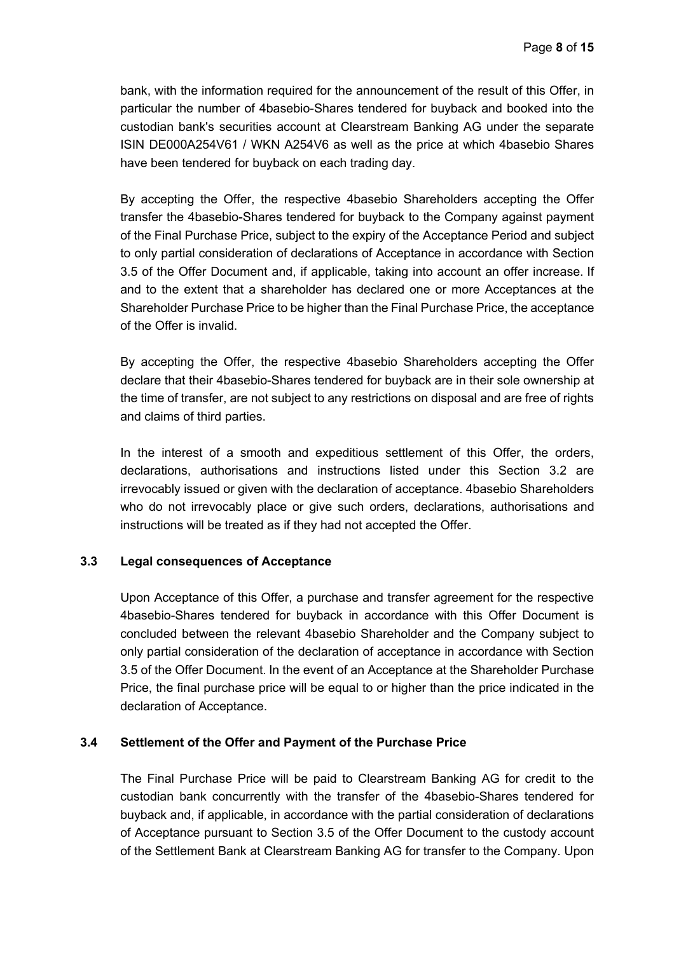bank, with the information required for the announcement of the result of this Offer, in particular the number of 4basebio-Shares tendered for buyback and booked into the custodian bank's securities account at Clearstream Banking AG under the separate ISIN DE000A254V61 / WKN A254V6 as well as the price at which 4basebio Shares have been tendered for buyback on each trading day.

By accepting the Offer, the respective 4basebio Shareholders accepting the Offer transfer the 4basebio-Shares tendered for buyback to the Company against payment of the Final Purchase Price, subject to the expiry of the Acceptance Period and subject to only partial consideration of declarations of Acceptance in accordance with Section 3.5 of the Offer Document and, if applicable, taking into account an offer increase. If and to the extent that a shareholder has declared one or more Acceptances at the Shareholder Purchase Price to be higher than the Final Purchase Price, the acceptance of the Offer is invalid.

By accepting the Offer, the respective 4basebio Shareholders accepting the Offer declare that their 4basebio-Shares tendered for buyback are in their sole ownership at the time of transfer, are not subject to any restrictions on disposal and are free of rights and claims of third parties.

In the interest of a smooth and expeditious settlement of this Offer, the orders, declarations, authorisations and instructions listed under this Section 3.2 are irrevocably issued or given with the declaration of acceptance. 4basebio Shareholders who do not irrevocably place or give such orders, declarations, authorisations and instructions will be treated as if they had not accepted the Offer.

### **3.3 Legal consequences of Acceptance**

Upon Acceptance of this Offer, a purchase and transfer agreement for the respective 4basebio-Shares tendered for buyback in accordance with this Offer Document is concluded between the relevant 4basebio Shareholder and the Company subject to only partial consideration of the declaration of acceptance in accordance with Section 3.5 of the Offer Document. In the event of an Acceptance at the Shareholder Purchase Price, the final purchase price will be equal to or higher than the price indicated in the declaration of Acceptance.

### **3.4 Settlement of the Offer and Payment of the Purchase Price**

The Final Purchase Price will be paid to Clearstream Banking AG for credit to the custodian bank concurrently with the transfer of the 4basebio-Shares tendered for buyback and, if applicable, in accordance with the partial consideration of declarations of Acceptance pursuant to Section 3.5 of the Offer Document to the custody account of the Settlement Bank at Clearstream Banking AG for transfer to the Company. Upon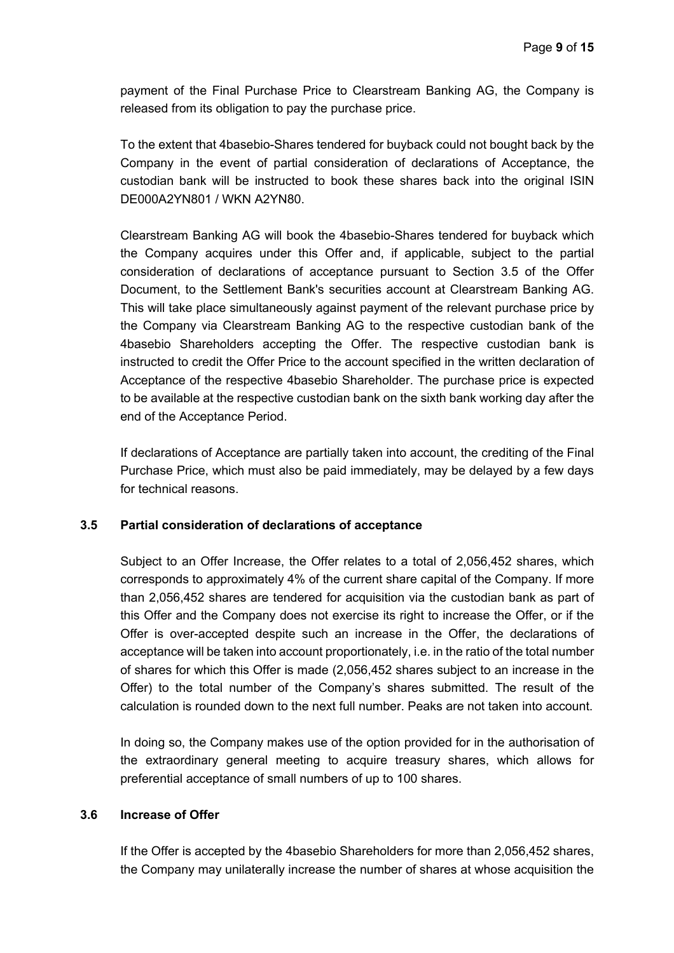payment of the Final Purchase Price to Clearstream Banking AG, the Company is released from its obligation to pay the purchase price.

To the extent that 4basebio-Shares tendered for buyback could not bought back by the Company in the event of partial consideration of declarations of Acceptance, the custodian bank will be instructed to book these shares back into the original ISIN DE000A2YN801 / WKN A2YN80.

Clearstream Banking AG will book the 4basebio-Shares tendered for buyback which the Company acquires under this Offer and, if applicable, subject to the partial consideration of declarations of acceptance pursuant to Section 3.5 of the Offer Document, to the Settlement Bank's securities account at Clearstream Banking AG. This will take place simultaneously against payment of the relevant purchase price by the Company via Clearstream Banking AG to the respective custodian bank of the 4basebio Shareholders accepting the Offer. The respective custodian bank is instructed to credit the Offer Price to the account specified in the written declaration of Acceptance of the respective 4basebio Shareholder. The purchase price is expected to be available at the respective custodian bank on the sixth bank working day after the end of the Acceptance Period.

If declarations of Acceptance are partially taken into account, the crediting of the Final Purchase Price, which must also be paid immediately, may be delayed by a few days for technical reasons.

### **3.5 Partial consideration of declarations of acceptance**

Subject to an Offer Increase, the Offer relates to a total of 2,056,452 shares, which corresponds to approximately 4% of the current share capital of the Company. If more than 2,056,452 shares are tendered for acquisition via the custodian bank as part of this Offer and the Company does not exercise its right to increase the Offer, or if the Offer is over-accepted despite such an increase in the Offer, the declarations of acceptance will be taken into account proportionately, i.e. in the ratio of the total number of shares for which this Offer is made (2,056,452 shares subject to an increase in the Offer) to the total number of the Company's shares submitted. The result of the calculation is rounded down to the next full number. Peaks are not taken into account.

In doing so, the Company makes use of the option provided for in the authorisation of the extraordinary general meeting to acquire treasury shares, which allows for preferential acceptance of small numbers of up to 100 shares.

## **3.6 Increase of Offer**

If the Offer is accepted by the 4basebio Shareholders for more than 2,056,452 shares, the Company may unilaterally increase the number of shares at whose acquisition the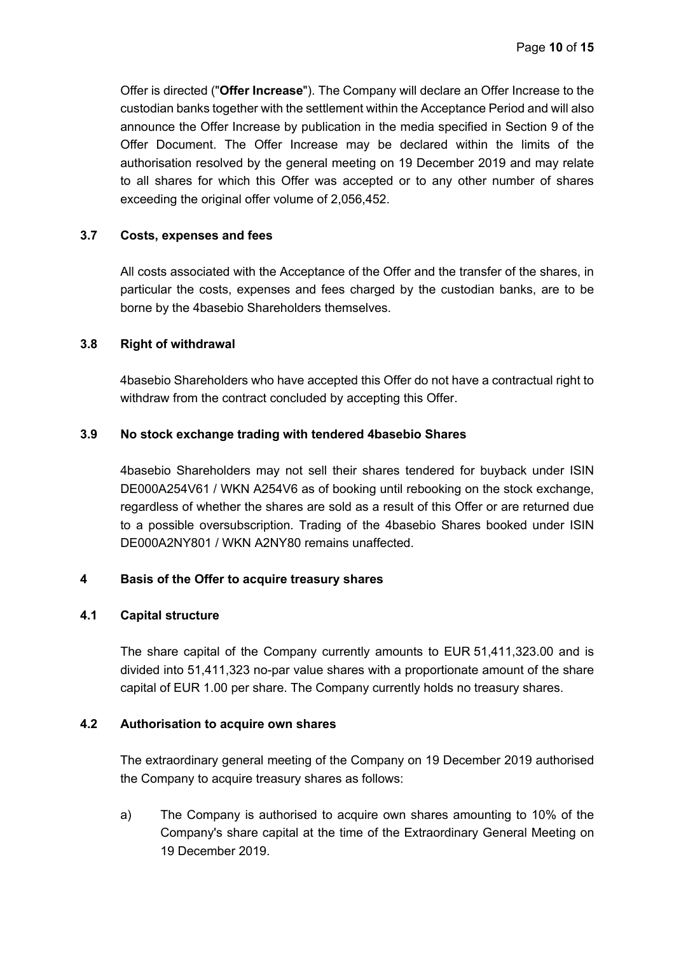Offer is directed ("**Offer Increase**"). The Company will declare an Offer Increase to the custodian banks together with the settlement within the Acceptance Period and will also announce the Offer Increase by publication in the media specified in Section 9 of the Offer Document. The Offer Increase may be declared within the limits of the authorisation resolved by the general meeting on 19 December 2019 and may relate to all shares for which this Offer was accepted or to any other number of shares exceeding the original offer volume of 2,056,452.

### **3.7 Costs, expenses and fees**

All costs associated with the Acceptance of the Offer and the transfer of the shares, in particular the costs, expenses and fees charged by the custodian banks, are to be borne by the 4basebio Shareholders themselves.

### **3.8 Right of withdrawal**

4basebio Shareholders who have accepted this Offer do not have a contractual right to withdraw from the contract concluded by accepting this Offer.

### **3.9 No stock exchange trading with tendered 4basebio Shares**

4basebio Shareholders may not sell their shares tendered for buyback under ISIN DE000A254V61 / WKN A254V6 as of booking until rebooking on the stock exchange, regardless of whether the shares are sold as a result of this Offer or are returned due to a possible oversubscription. Trading of the 4basebio Shares booked under ISIN DE000A2NY801 / WKN A2NY80 remains unaffected.

### **4 Basis of the Offer to acquire treasury shares**

### **4.1 Capital structure**

The share capital of the Company currently amounts to EUR 51,411,323.00 and is divided into 51,411,323 no-par value shares with a proportionate amount of the share capital of EUR 1.00 per share. The Company currently holds no treasury shares.

## **4.2 Authorisation to acquire own shares**

The extraordinary general meeting of the Company on 19 December 2019 authorised the Company to acquire treasury shares as follows:

a) The Company is authorised to acquire own shares amounting to 10% of the Company's share capital at the time of the Extraordinary General Meeting on 19 December 2019.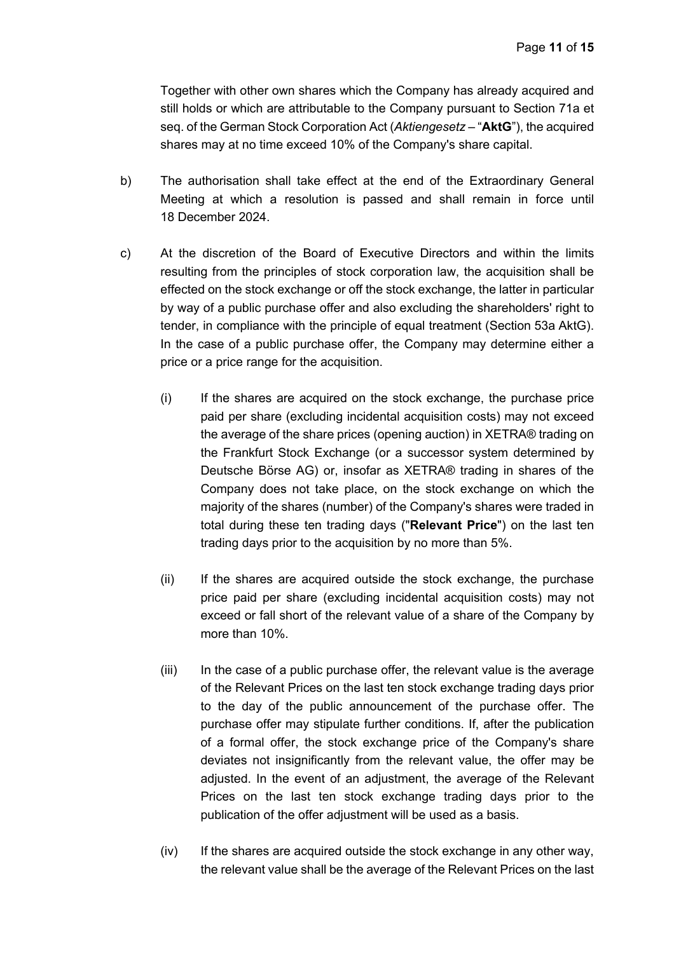Together with other own shares which the Company has already acquired and still holds or which are attributable to the Company pursuant to Section 71a et seq. of the German Stock Corporation Act (*Aktiengesetz* – "**AktG**"), the acquired shares may at no time exceed 10% of the Company's share capital.

- b) The authorisation shall take effect at the end of the Extraordinary General Meeting at which a resolution is passed and shall remain in force until 18 December 2024.
- c) At the discretion of the Board of Executive Directors and within the limits resulting from the principles of stock corporation law, the acquisition shall be effected on the stock exchange or off the stock exchange, the latter in particular by way of a public purchase offer and also excluding the shareholders' right to tender, in compliance with the principle of equal treatment (Section 53a AktG). In the case of a public purchase offer, the Company may determine either a price or a price range for the acquisition.
	- (i) If the shares are acquired on the stock exchange, the purchase price paid per share (excluding incidental acquisition costs) may not exceed the average of the share prices (opening auction) in XETRA® trading on the Frankfurt Stock Exchange (or a successor system determined by Deutsche Börse AG) or, insofar as XETRA® trading in shares of the Company does not take place, on the stock exchange on which the majority of the shares (number) of the Company's shares were traded in total during these ten trading days ("**Relevant Price**") on the last ten trading days prior to the acquisition by no more than 5%.
	- (ii) If the shares are acquired outside the stock exchange, the purchase price paid per share (excluding incidental acquisition costs) may not exceed or fall short of the relevant value of a share of the Company by more than 10%.
	- (iii) In the case of a public purchase offer, the relevant value is the average of the Relevant Prices on the last ten stock exchange trading days prior to the day of the public announcement of the purchase offer. The purchase offer may stipulate further conditions. If, after the publication of a formal offer, the stock exchange price of the Company's share deviates not insignificantly from the relevant value, the offer may be adjusted. In the event of an adjustment, the average of the Relevant Prices on the last ten stock exchange trading days prior to the publication of the offer adjustment will be used as a basis.
	- (iv) If the shares are acquired outside the stock exchange in any other way, the relevant value shall be the average of the Relevant Prices on the last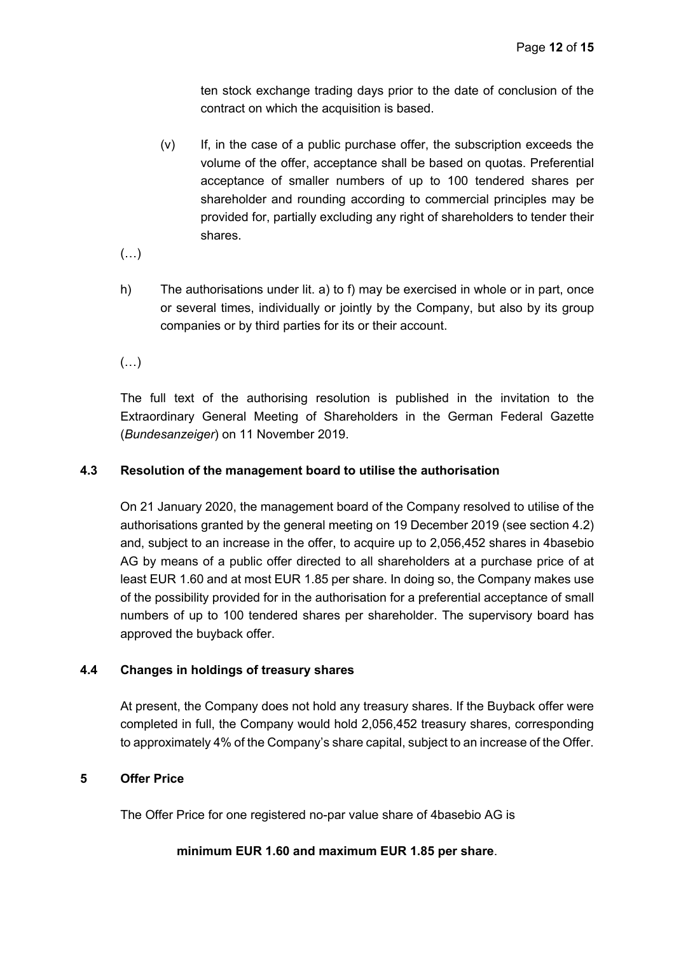ten stock exchange trading days prior to the date of conclusion of the contract on which the acquisition is based.

- (v) If, in the case of a public purchase offer, the subscription exceeds the volume of the offer, acceptance shall be based on quotas. Preferential acceptance of smaller numbers of up to 100 tendered shares per shareholder and rounding according to commercial principles may be provided for, partially excluding any right of shareholders to tender their shares.
- $(\ldots)$
- h) The authorisations under lit. a) to f) may be exercised in whole or in part, once or several times, individually or jointly by the Company, but also by its group companies or by third parties for its or their account.
- $(\ldots)$

The full text of the authorising resolution is published in the invitation to the Extraordinary General Meeting of Shareholders in the German Federal Gazette (*Bundesanzeiger*) on 11 November 2019.

## **4.3 Resolution of the management board to utilise the authorisation**

On 21 January 2020, the management board of the Company resolved to utilise of the authorisations granted by the general meeting on 19 December 2019 (see section 4.2) and, subject to an increase in the offer, to acquire up to 2,056,452 shares in 4basebio AG by means of a public offer directed to all shareholders at a purchase price of at least EUR 1.60 and at most EUR 1.85 per share. In doing so, the Company makes use of the possibility provided for in the authorisation for a preferential acceptance of small numbers of up to 100 tendered shares per shareholder. The supervisory board has approved the buyback offer.

## **4.4 Changes in holdings of treasury shares**

At present, the Company does not hold any treasury shares. If the Buyback offer were completed in full, the Company would hold 2,056,452 treasury shares, corresponding to approximately 4% of the Company's share capital, subject to an increase of the Offer.

## **5 Offer Price**

The Offer Price for one registered no-par value share of 4basebio AG is

### **minimum EUR 1.60 and maximum EUR 1.85 per share**.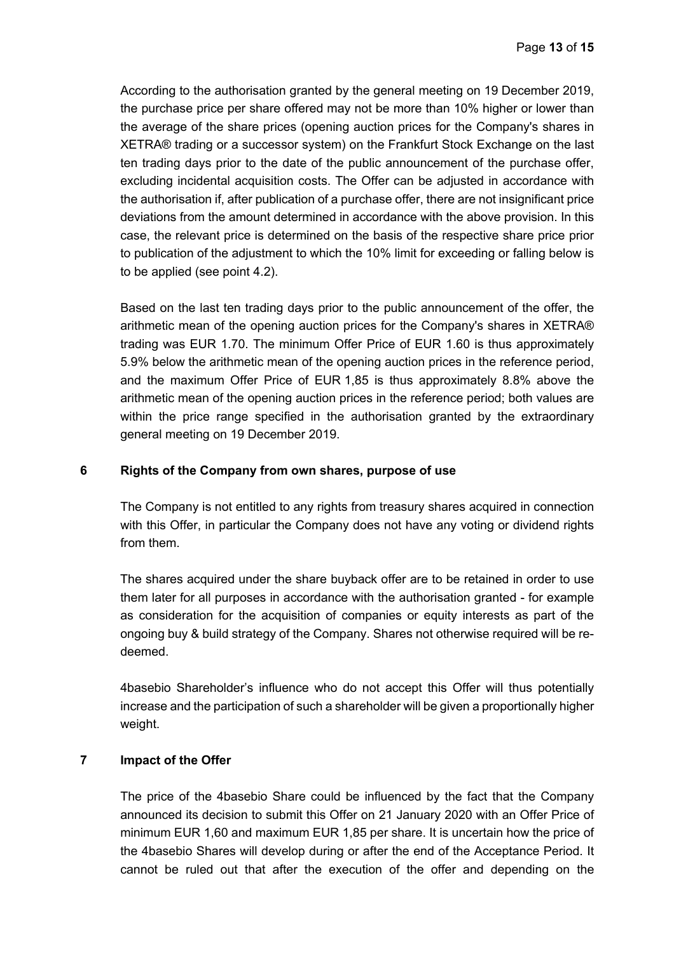According to the authorisation granted by the general meeting on 19 December 2019, the purchase price per share offered may not be more than 10% higher or lower than the average of the share prices (opening auction prices for the Company's shares in XETRA® trading or a successor system) on the Frankfurt Stock Exchange on the last ten trading days prior to the date of the public announcement of the purchase offer, excluding incidental acquisition costs. The Offer can be adjusted in accordance with the authorisation if, after publication of a purchase offer, there are not insignificant price deviations from the amount determined in accordance with the above provision. In this case, the relevant price is determined on the basis of the respective share price prior to publication of the adjustment to which the 10% limit for exceeding or falling below is to be applied (see point 4.2).

Based on the last ten trading days prior to the public announcement of the offer, the arithmetic mean of the opening auction prices for the Company's shares in XETRA® trading was EUR 1.70. The minimum Offer Price of EUR 1.60 is thus approximately 5.9% below the arithmetic mean of the opening auction prices in the reference period, and the maximum Offer Price of EUR 1,85 is thus approximately 8.8% above the arithmetic mean of the opening auction prices in the reference period; both values are within the price range specified in the authorisation granted by the extraordinary general meeting on 19 December 2019.

### **6 Rights of the Company from own shares, purpose of use**

The Company is not entitled to any rights from treasury shares acquired in connection with this Offer, in particular the Company does not have any voting or dividend rights from them.

The shares acquired under the share buyback offer are to be retained in order to use them later for all purposes in accordance with the authorisation granted - for example as consideration for the acquisition of companies or equity interests as part of the ongoing buy & build strategy of the Company. Shares not otherwise required will be redeemed.

4basebio Shareholder's influence who do not accept this Offer will thus potentially increase and the participation of such a shareholder will be given a proportionally higher weight.

### **7 Impact of the Offer**

The price of the 4basebio Share could be influenced by the fact that the Company announced its decision to submit this Offer on 21 January 2020 with an Offer Price of minimum EUR 1,60 and maximum EUR 1,85 per share. It is uncertain how the price of the 4basebio Shares will develop during or after the end of the Acceptance Period. It cannot be ruled out that after the execution of the offer and depending on the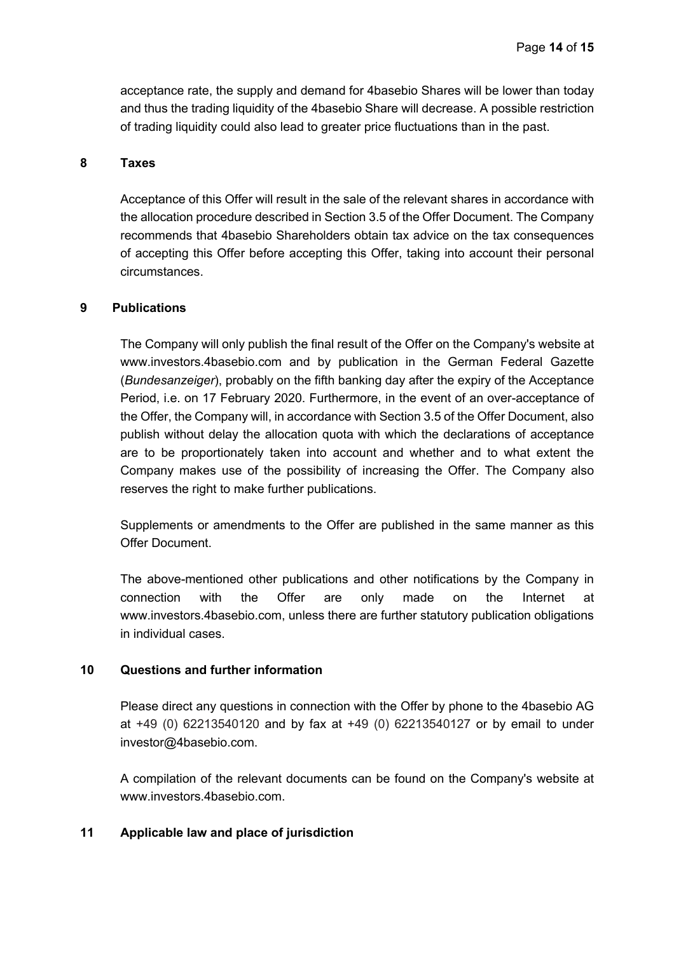acceptance rate, the supply and demand for 4basebio Shares will be lower than today and thus the trading liquidity of the 4basebio Share will decrease. A possible restriction of trading liquidity could also lead to greater price fluctuations than in the past.

### **8 Taxes**

Acceptance of this Offer will result in the sale of the relevant shares in accordance with the allocation procedure described in Section 3.5 of the Offer Document. The Company recommends that 4basebio Shareholders obtain tax advice on the tax consequences of accepting this Offer before accepting this Offer, taking into account their personal circumstances.

#### **9 Publications**

The Company will only publish the final result of the Offer on the Company's website at www.investors.4basebio.com and by publication in the German Federal Gazette (*Bundesanzeiger*), probably on the fifth banking day after the expiry of the Acceptance Period, i.e. on 17 February 2020. Furthermore, in the event of an over-acceptance of the Offer, the Company will, in accordance with Section 3.5 of the Offer Document, also publish without delay the allocation quota with which the declarations of acceptance are to be proportionately taken into account and whether and to what extent the Company makes use of the possibility of increasing the Offer. The Company also reserves the right to make further publications.

Supplements or amendments to the Offer are published in the same manner as this Offer Document.

The above-mentioned other publications and other notifications by the Company in connection with the Offer are only made on the Internet at www.investors.4basebio.com, unless there are further statutory publication obligations in individual cases.

#### **10 Questions and further information**

Please direct any questions in connection with the Offer by phone to the 4basebio AG at +49 (0) 62213540120 and by fax at +49 (0) 62213540127 or by email to under investor@4basebio.com.

A compilation of the relevant documents can be found on the Company's website at www.investors.4basebio.com.

### **11 Applicable law and place of jurisdiction**